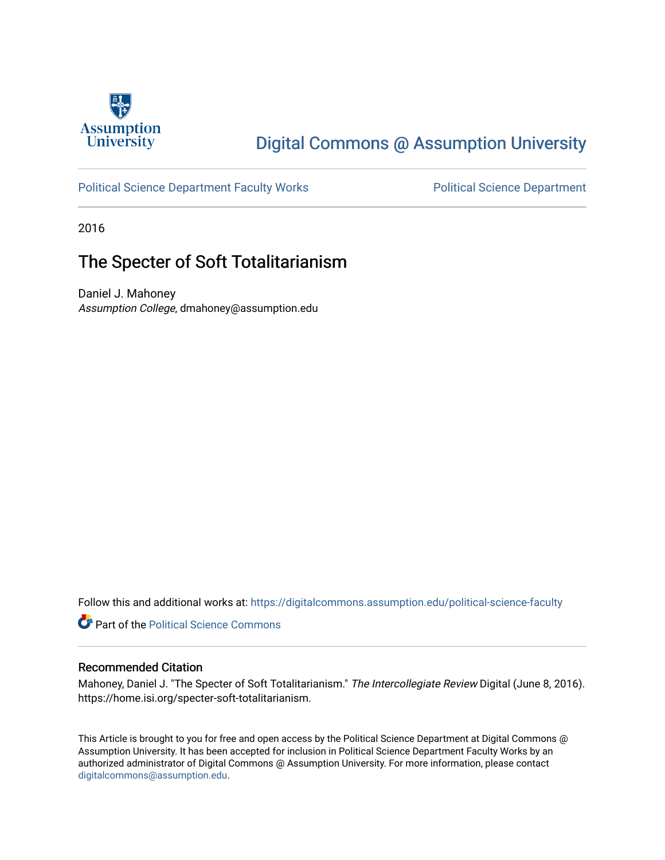

## [Digital Commons @ Assumption University](https://digitalcommons.assumption.edu/)

#### [Political Science Department Faculty Works](https://digitalcommons.assumption.edu/political-science-faculty) **Political Science Department**

2016

### The Specter of Soft Totalitarianism

Daniel J. Mahoney Assumption College, dmahoney@assumption.edu

Follow this and additional works at: [https://digitalcommons.assumption.edu/political-science-faculty](https://digitalcommons.assumption.edu/political-science-faculty?utm_source=digitalcommons.assumption.edu%2Fpolitical-science-faculty%2F20&utm_medium=PDF&utm_campaign=PDFCoverPages)

**Part of the Political Science Commons** 

#### Recommended Citation

Mahoney, Daniel J. "The Specter of Soft Totalitarianism." The Intercollegiate Review Digital (June 8, 2016). https://home.isi.org/specter-soft-totalitarianism.

This Article is brought to you for free and open access by the Political Science Department at Digital Commons @ Assumption University. It has been accepted for inclusion in Political Science Department Faculty Works by an authorized administrator of Digital Commons @ Assumption University. For more information, please contact [digitalcommons@assumption.edu](mailto:digitalcommons@assumption.edu).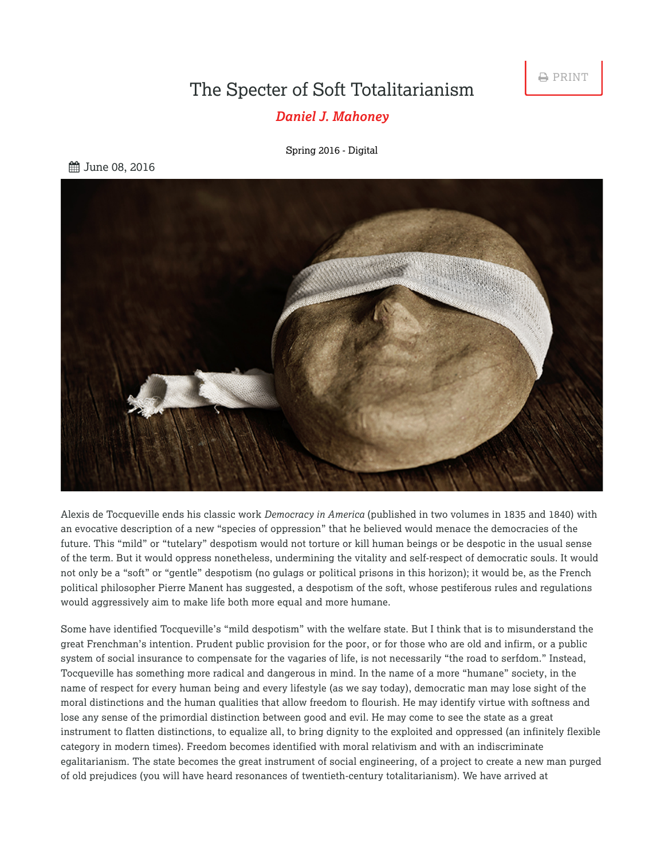A PRINT

# The Specter of Soft Totalitarianism

### *[Daniel J. Mahoney](https://home.isi.org/intercollegiate-review/author/2386)*

[Spring](https://home.isi.org/journal-issue/spring-2016-digital) 2016 - Digital



Alexis de Tocqueville ends his classic work *Democracy in America* (published in two volumes in 1835 and 1840) with an evocative description of a new "species of oppression" that he believed would menace the democracies of the future. This "mild" or "tutelary" despotism would not torture or kill human beings or be despotic in the usual sense of the term. But it would oppress nonetheless, undermining the vitality and self-respect of democratic souls. It would not only be a "soft" or "gentle" despotism (no gulags or political prisons in this horizon); it would be, as the French political philosopher Pierre Manent has suggested, a despotism of the soft, whose pestiferous rules and regulations would aggressively aim to make life both more equal and more humane.

Some have identified Tocqueville's "mild despotism" with the welfare state. But I think that is to misunderstand the great Frenchman's intention. Prudent public provision for the poor, or for those who are old and infirm, or a public system of social insurance to compensate for the vagaries of life, is not necessarily "the road to serfdom." Instead, Tocqueville has something more radical and dangerous in mind. In the name of a more "humane" society, in the name of respect for every human being and every lifestyle (as we say today), democratic man may lose sight of the moral distinctions and the human qualities that allow freedom to flourish. He may identify virtue with softness and lose any sense of the primordial distinction between good and evil. He may come to see the state as a great instrument to flatten distinctions, to equalize all, to bring dignity to the exploited and oppressed (an infinitely flexible category in modern times). Freedom becomes identified with moral relativism and with an indiscriminate egalitarianism. The state becomes the great instrument of social engineering, of a project to create a new man purged of old prejudices (you will have heard resonances of twentieth-century totalitarianism). We have arrived at

**角 June 08, 2016**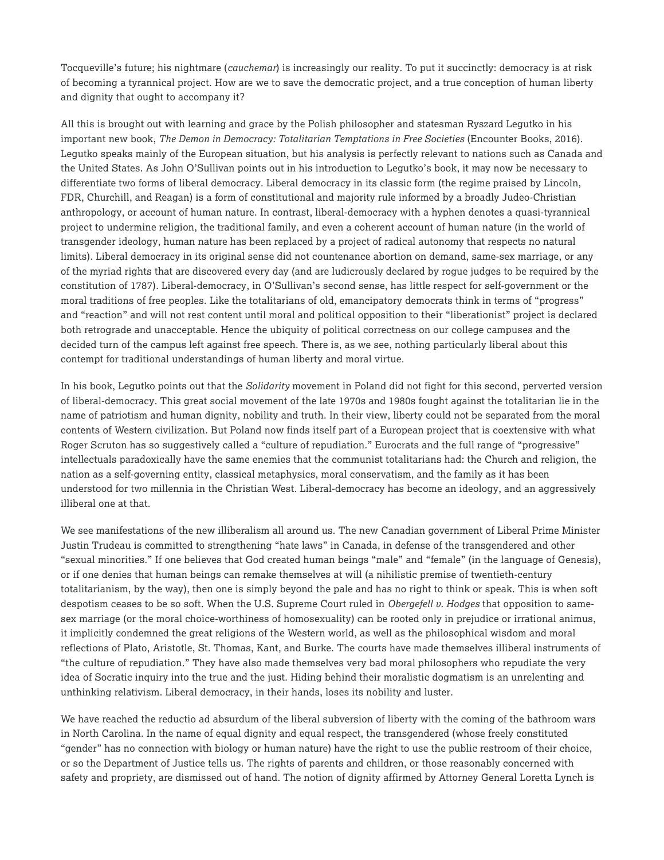Tocqueville's future; his nightmare (*cauchemar*) is increasingly our reality. To put it succinctly: democracy is at risk of becoming a tyrannical project. How are we to save the democratic project, and a true conception of human liberty and dignity that ought to accompany it?

All this is brought out with learning and grace by the Polish philosopher and statesman Ryszard Legutko in his important new book, *The Demon in Democracy: Totalitarian Temptations in Free Societies* (Encounter Books, 2016). Legutko speaks mainly of the European situation, but his analysis is perfectly relevant to nations such as Canada and the United States. As John O'Sullivan points out in his introduction to Legutko's book, it may now be necessary to differentiate two forms of liberal democracy. Liberal democracy in its classic form (the regime praised by Lincoln, FDR, Churchill, and Reagan) is a form of constitutional and majority rule informed by a broadly Judeo-Christian anthropology, or account of human nature. In contrast, liberal-democracy with a hyphen denotes a quasi-tyrannical project to undermine religion, the traditional family, and even a coherent account of human nature (in the world of transgender ideology, human nature has been replaced by a project of radical autonomy that respects no natural limits). Liberal democracy in its original sense did not countenance abortion on demand, same-sex marriage, or any of the myriad rights that are discovered every day (and are ludicrously declared by rogue judges to be required by the constitution of 1787). Liberal-democracy, in O'Sullivan's second sense, has little respect for self-government or the moral traditions of free peoples. Like the totalitarians of old, emancipatory democrats think in terms of "progress" and "reaction" and will not rest content until moral and political opposition to their "liberationist" project is declared both retrograde and unacceptable. Hence the ubiquity of political correctness on our college campuses and the decided turn of the campus left against free speech. There is, as we see, nothing particularly liberal about this contempt for traditional understandings of human liberty and moral virtue.

In his book, Legutko points out that the *Solidarity* movement in Poland did not fight for this second, perverted version of liberal-democracy. This great social movement of the late 1970s and 1980s fought against the totalitarian lie in the name of patriotism and human dignity, nobility and truth. In their view, liberty could not be separated from the moral contents of Western civilization. But Poland now finds itself part of a European project that is coextensive with what Roger Scruton has so suggestively called a "culture of repudiation." Eurocrats and the full range of "progressive" intellectuals paradoxically have the same enemies that the communist totalitarians had: the Church and religion, the nation as a self-governing entity, classical metaphysics, moral conservatism, and the family as it has been understood for two millennia in the Christian West. Liberal-democracy has become an ideology, and an aggressively illiberal one at that.

We see manifestations of the new illiberalism all around us. The new Canadian government of Liberal Prime Minister Justin Trudeau is committed to strengthening "hate laws" in Canada, in defense of the transgendered and other "sexual minorities." If one believes that God created human beings "male" and "female" (in the language of Genesis), or if one denies that human beings can remake themselves at will (a nihilistic premise of twentieth-century totalitarianism, by the way), then one is simply beyond the pale and has no right to think or speak. This is when soft despotism ceases to be so soft. When the U.S. Supreme Court ruled in *Obergefell v. Hodges* that opposition to samesex marriage (or the moral choice-worthiness of homosexuality) can be rooted only in prejudice or irrational animus, it implicitly condemned the great religions of the Western world, as well as the philosophical wisdom and moral reflections of Plato, Aristotle, St. Thomas, Kant, and Burke. The courts have made themselves illiberal instruments of "the culture of repudiation." They have also made themselves very bad moral philosophers who repudiate the very idea of Socratic inquiry into the true and the just. Hiding behind their moralistic dogmatism is an unrelenting and unthinking relativism. Liberal democracy, in their hands, loses its nobility and luster.

We have reached the reductio ad absurdum of the liberal subversion of liberty with the coming of the bathroom wars in North Carolina. In the name of equal dignity and equal respect, the transgendered (whose freely constituted "gender" has no connection with biology or human nature) have the right to use the public restroom of their choice, or so the Department of Justice tells us. The rights of parents and children, or those reasonably concerned with safety and propriety, are dismissed out of hand. The notion of dignity affirmed by Attorney General Loretta Lynch is